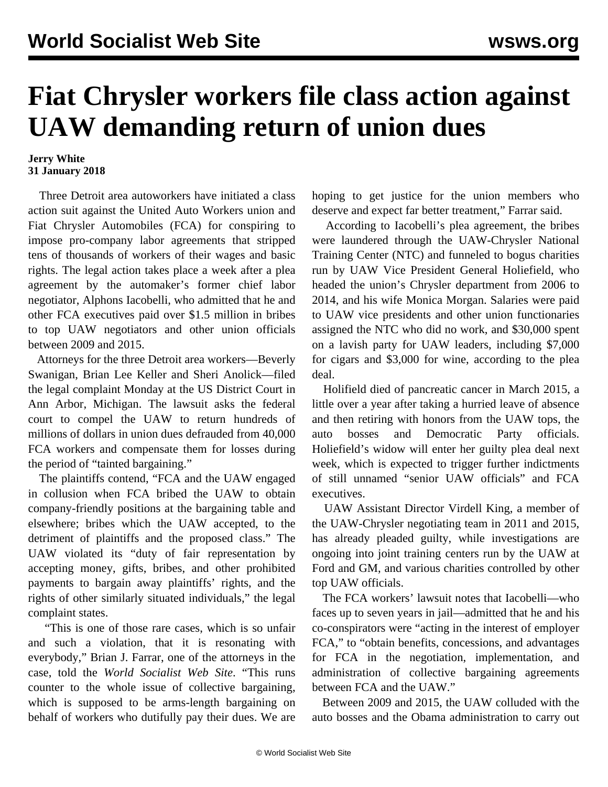## **Fiat Chrysler workers file class action against UAW demanding return of union dues**

## **Jerry White 31 January 2018**

 Three Detroit area autoworkers have initiated a class action suit against the United Auto Workers union and Fiat Chrysler Automobiles (FCA) for conspiring to impose pro-company labor agreements that stripped tens of thousands of workers of their wages and basic rights. The legal action takes place a week after a plea agreement by the automaker's former chief labor negotiator, Alphons Iacobelli, who admitted that he and other FCA executives paid over \$1.5 million in bribes to top UAW negotiators and other union officials between 2009 and 2015.

 Attorneys for the three Detroit area workers—Beverly Swanigan, Brian Lee Keller and Sheri Anolick—filed the legal complaint Monday at the US District Court in Ann Arbor, Michigan. The lawsuit asks the federal court to compel the UAW to return hundreds of millions of dollars in union dues defrauded from 40,000 FCA workers and compensate them for losses during the period of "tainted bargaining."

 The plaintiffs contend, "FCA and the UAW engaged in collusion when FCA bribed the UAW to obtain company-friendly positions at the bargaining table and elsewhere; bribes which the UAW accepted, to the detriment of plaintiffs and the proposed class." The UAW violated its "duty of fair representation by accepting money, gifts, bribes, and other prohibited payments to bargain away plaintiffs' rights, and the rights of other similarly situated individuals," the legal complaint states.

 "This is one of those rare cases, which is so unfair and such a violation, that it is resonating with everybody," Brian J. Farrar, one of the attorneys in the case, told the *World Socialist Web Site*. "This runs counter to the whole issue of collective bargaining, which is supposed to be arms-length bargaining on behalf of workers who dutifully pay their dues. We are

hoping to get justice for the union members who deserve and expect far better treatment," Farrar said.

 According to Iacobelli's plea agreement, the bribes were laundered through the UAW-Chrysler National Training Center (NTC) and funneled to bogus charities run by UAW Vice President General Holiefield, who headed the union's Chrysler department from 2006 to 2014, and his wife Monica Morgan. Salaries were paid to UAW vice presidents and other union functionaries assigned the NTC who did no work, and \$30,000 spent on a lavish party for UAW leaders, including \$7,000 for cigars and \$3,000 for wine, according to the plea deal.

 Holifield died of pancreatic cancer in March 2015, a little over a year after taking a hurried leave of absence and then retiring with honors from the UAW tops, the auto bosses and Democratic Party officials. Holiefield's widow will enter her guilty plea deal next week, which is expected to trigger further indictments of still unnamed "senior UAW officials" and FCA executives.

 UAW Assistant Director Virdell King, a member of the UAW-Chrysler negotiating team in 2011 and 2015, has already pleaded guilty, while investigations are ongoing into joint training centers run by the UAW at Ford and GM, and various charities controlled by other top UAW officials.

 The FCA workers' lawsuit notes that Iacobelli—who faces up to seven years in jail—admitted that he and his co-conspirators were "acting in the interest of employer FCA," to "obtain benefits, concessions, and advantages for FCA in the negotiation, implementation, and administration of collective bargaining agreements between FCA and the UAW."

 Between 2009 and 2015, the UAW colluded with the auto bosses and the Obama administration to carry out